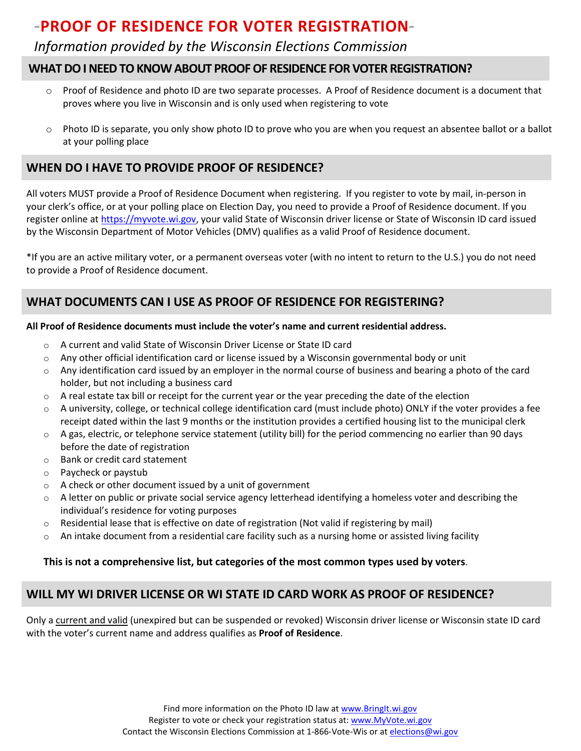# **-PROOF OF RESIDENCE FOR VOTER REGISTRATION-**

# *Information provided by the Wisconsin Elections Commission*

### **WHAT DO I NEED TO KNOW ABOUT PROOF OF RESIDENCE FOR VOTER REGISTRATION?**

- o Proof of Residence and photo ID are two separate processes. A Proof of Residence document is a document that proves where you live in Wisconsin and is only used when registering to vote
- o Photo ID is separate, you only show photo ID to prove who you are when you request an absentee ballot or a ballot at your polling place

### **WHEN DO I HAVE TO PROVIDE PROOF OF RESIDENCE?**

All voters MUST provide a Proof of Residence Document when registering. If you register to vote by mail, in-person in your clerk's office, or at your polling place on Election Day, you need to provide a Proof of Residence document. If you register online at [https://myvote.wi.gov,](https://myvote.wi.gov/) your valid State of Wisconsin driver license or State of Wisconsin ID card issued by the Wisconsin Department of Motor Vehicles (DMV) qualifies as a valid Proof of Residence document.

\*If you are an active military voter, or a permanent overseas voter (with no intent to return to the U.S.) you do not need to provide a Proof of Residence document.

# **WHAT DOCUMENTS CAN I USE AS PROOF OF RESIDENCE FOR REGISTERING?**

#### **All Proof of Residence documents must include the voter's name and current residential address.**

- o A current and valid State of Wisconsin Driver License or State ID card
- $\circ$  Any other official identification card or license issued by a Wisconsin governmental body or unit
- o Any identification card issued by an employer in the normal course of business and bearing a photo of the card holder, but not including a business card
- $\circ$  A real estate tax bill or receipt for the current year or the year preceding the date of the election
- o A university, college, or technical college identification card (must include photo) ONLY if the voter provides a fee receipt dated within the last 9 months or the institution provides a certified housing list to the municipal clerk
- $\circ$  A gas, electric, or telephone service statement (utility bill) for the period commencing no earlier than 90 days before the date of registration
- o Bank or credit card statement
- o Paycheck or paystub
- o A check or other document issued by a unit of government
- o A letter on public or private social service agency letterhead identifying a homeless voter and describing the individual's residence for voting purposes
- $\circ$  Residential lease that is effective on date of registration (Not valid if registering by mail)
- $\circ$  An intake document from a residential care facility such as a nursing home or assisted living facility

#### **This is not a comprehensive list, but categories of the most common types used by voters**.

# **WILL MY WI DRIVER LICENSE OR WI STATE ID CARD WORK AS PROOF OF RESIDENCE?**

Only a current and valid (unexpired but can be suspended or revoked) Wisconsin driver license or Wisconsin state ID card with the voter's current name and address qualifies as **Proof of Residence**.